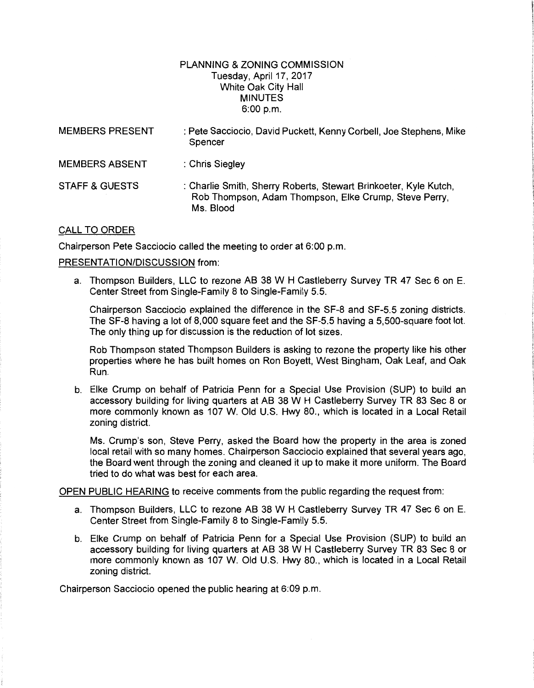## PLANNING & ZONING COMMISSION Tuesday, April 17,2017 White Oak City Hall MINUTES 6:00 p.m.

| <b>MEMBERS PRESENT</b>    | : Pete Sacciocio, David Puckett, Kenny Corbell, Joe Stephens, Mike<br>Spencer                                                          |
|---------------------------|----------------------------------------------------------------------------------------------------------------------------------------|
| <b>MEMBERS ABSENT</b>     | : Chris Siegley                                                                                                                        |
| <b>STAFF &amp; GUESTS</b> | : Charlie Smith, Sherry Roberts, Stewart Brinkoeter, Kyle Kutch,<br>Rob Thompson, Adam Thompson, Elke Crump, Steve Perry,<br>Ms. Blood |

## CALL TO ORDER

Chairperson Pete Sacciocio called the meeting to order at 6:00 p.m.

## PRESENTATION/DISCUSSION from:

a. Thompson Builders, LLC to rezone AB 38 W H Castleberry Survey TR 47 Sec 6 on E. Center Street from Single-Family 8 to Single-Family 5.5.

Chairperson Sacciocio explained the difference in the SF-8 and SF-5.5 zoning districts. The SF-8 having a lot of 8,000 square feet and the SF-5.5 having a 5,500-square foot lot. The only thing up for discussion is the reduction of lot sizes.

Rob Thompson stated Thompson Builders is asking to rezone the property like his other properties where he has built homes on Ron Boyett, West Bingham, Oak Leaf, and Oak Run.

b. Elke Crump on behalf of Patricia Penn for a Special Use Provision (SUP) to build an accessory building for living quarters at AB 38 W H Castleberry Survey TR 83 Sec 8 or more commonly known as 107 W. Old U.S. Hwy 80., which is located in a Local Retail zoning district.

Ms. Crump's son, Steve Perry, asked the Board how the property in the area is zoned local retail with so many homes. Chairperson Sacciocio explained that several years ago, the Board went through the zoning and cleaned it up to make it more uniform. The Board tried to do what was best for each area.

OPEN PUBLIC HEARING to receive comments from the public regarding the request from:

- a. Thompson Builders, LLC to rezone AB 38 W H Castleberry Survey TR 47 Sec 6 on E. Center Street from Single-Family 8 to Single-Family 5.5.
- b. Elke Crump on behalf of Patricia Penn for a Special Use Provision (SUP) to build an accessory building for living quarters at AB 38 W H Castleberry Survey TR 83 Sec 8 or more commonly known as 107 W. Old U.S. Hwy 80., which is located in a Local Retail zoning district.

Chairperson Sacciocio opened the public hearing at 6:09 p.m.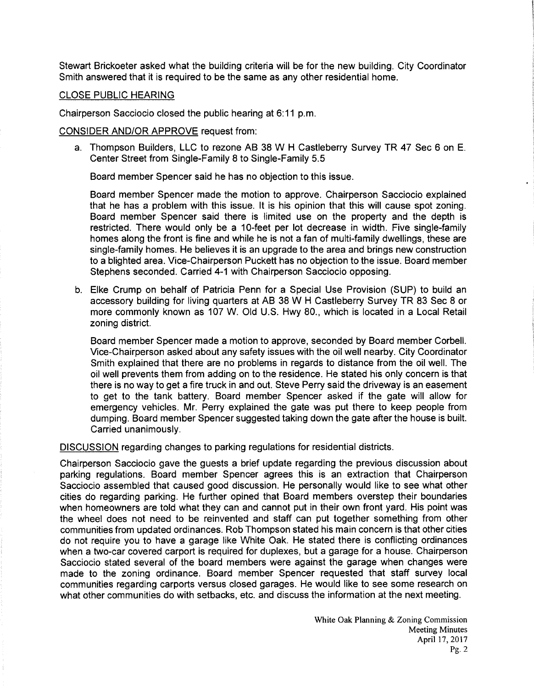Stewart Brickoeter asked what the building criteria will be for the new building. City Coordinator Smith answered that it is required to be the same as any other residential home.

## CLOSE PUBLIC HEARING

Chairperson Sacciocio closed the public hearing at 6:11 p.m.

CONSIDER AND/OR APPROVE request from:

a. Thompson Builders, LLC to rezone AB 38 W H Castleberry Survey TR 47 Sec 6 on E. Center Street from Single-Family 8 to Single-Family 5.5

Board member Spencer said he has no objection to this issue.

Board member Spencer made the motion to approve. Chairperson Sacciocio explained that he has a problem with this issue. It is his opinion that this will cause spot zoning. Board member Spencer said there is limited use on the property and the depth is restricted. There would only be a 10-feet per lot decrease in width. Five single-family homes along the front is fine and while he is not a fan of multi-family dwellings, these are single-family homes. He believes it is an upgrade to the area and brings new construction to a blighted area. Vice-Chairperson Puckett has no objection to the issue. Board member Stephens seconded. Carried 4-1 with Chairperson Sacciocio opposing.

b. Elke Crump on behalf of Patricia Penn for a Special Use Provision (SUP) to build an accessory building for living quarters at AB 38 W H Castleberry Survey TR 83 Sec 8 or more commonly known as 107 W. Old U.S. Hwy 80., which is located in a Local Retail zoning district.

Board member Spencer made a motion to approve, seconded by Board member Corbell. Vice-Chairperson asked about any safety issues with the oil well nearby. City Coordinator Smith explained that there are no problems in regards to distance from the oil well. The oil well prevents them from adding on to the residence. He stated his only concern is that there is no way to get a fire truck in and out. Steve Perry said the driveway is an easement to get to the tank battery. Board member Spencer asked if the gate will allow for emergency vehicles. Mr. Perry explained the gate was put there to keep people from dumping. Board member Spencer suggested taking down the gate after the house is built. Carried unanimously.

DISCUSSION regarding changes to parking regulations for residential districts.

Chairperson Sacciocio gave the guests a brief update regarding the previous discussion about parking regulations. Board member Spencer agrees this is an extraction that Chairperson Sacciocio assembled that caused good discussion. He personally would like to see what other cities do regarding parking. He further opined that Board members overstep their boundaries when homeowners are told what they can and cannot put in their own front yard. His point was the wheel does not need to be reinvented and staff can put together something from other communities from updated ordinances. Rob Thompson stated his main concern is that other cities do not require you to have a garage like White Oak. He stated there is conflicting ordinances when a two-car covered carport is required for duplexes, but a garage for a house. Chairperson Sacciocio stated several of the board members were against the garage when changes were made to the zoning ordinance. Board member Spencer requested that staff survey local communities regarding carports versus closed garages. He would like to see some research on what other communities do with setbacks, etc. and discuss the information at the next meeting.